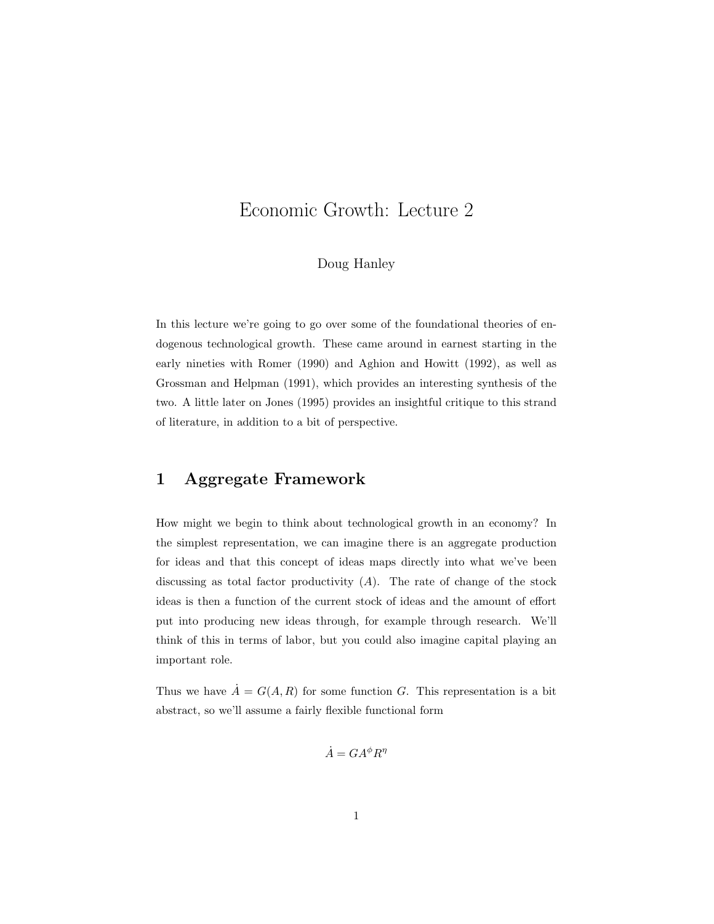# Economic Growth: Lecture 2

#### Doug Hanley

In this lecture we're going to go over some of the foundational theories of endogenous technological growth. These came around in earnest starting in the early nineties with Romer (1990) and Aghion and Howitt (1992), as well as Grossman and Helpman (1991), which provides an interesting synthesis of the two. A little later on Jones (1995) provides an insightful critique to this strand of literature, in addition to a bit of perspective.

### 1 Aggregate Framework

How might we begin to think about technological growth in an economy? In the simplest representation, we can imagine there is an aggregate production for ideas and that this concept of ideas maps directly into what we've been discussing as total factor productivity  $(A)$ . The rate of change of the stock ideas is then a function of the current stock of ideas and the amount of effort put into producing new ideas through, for example through research. We'll think of this in terms of labor, but you could also imagine capital playing an important role.

Thus we have  $\dot{A} = G(A, R)$  for some function G. This representation is a bit abstract, so we'll assume a fairly flexible functional form

$$
\dot{A} = GA^{\phi}R^{\eta}
$$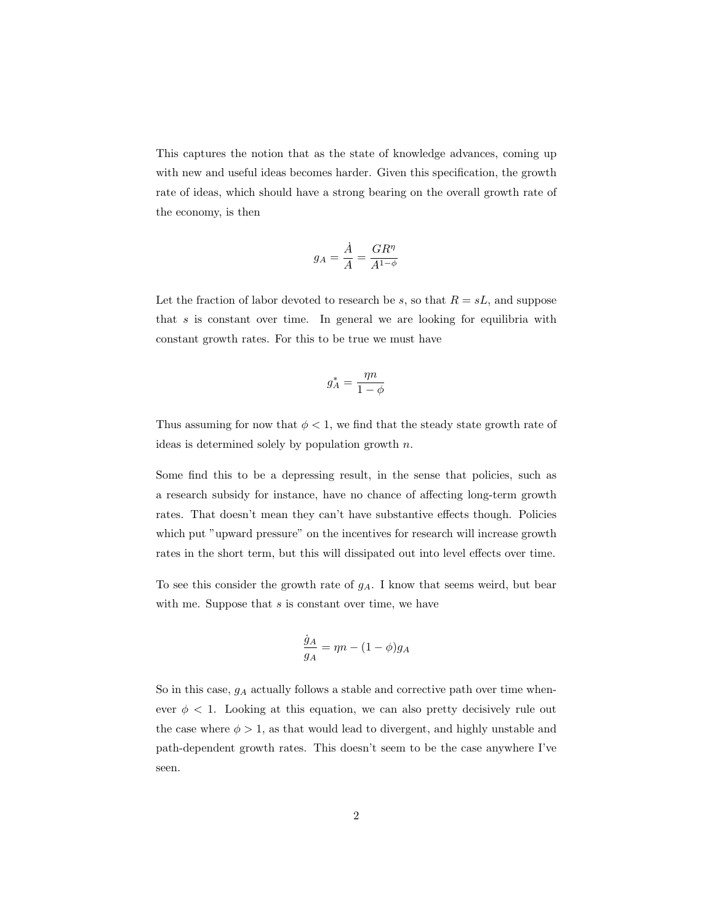This captures the notion that as the state of knowledge advances, coming up with new and useful ideas becomes harder. Given this specification, the growth rate of ideas, which should have a strong bearing on the overall growth rate of the economy, is then

$$
g_A = \frac{\dot{A}}{A} = \frac{GR^{\eta}}{A^{1-\phi}}
$$

Let the fraction of labor devoted to research be s, so that  $R = sL$ , and suppose that  $s$  is constant over time. In general we are looking for equilibria with constant growth rates. For this to be true we must have

$$
g_A^* = \frac{\eta n}{1 - \phi}
$$

Thus assuming for now that  $\phi < 1$ , we find that the steady state growth rate of ideas is determined solely by population growth  $n$ .

Some find this to be a depressing result, in the sense that policies, such as a research subsidy for instance, have no chance of affecting long-term growth rates. That doesn't mean they can't have substantive effects though. Policies which put "upward pressure" on the incentives for research will increase growth rates in the short term, but this will dissipated out into level effects over time.

To see this consider the growth rate of  $g_A$ . I know that seems weird, but bear with me. Suppose that  $s$  is constant over time, we have

$$
\frac{\dot{g}_A}{g_A} = \eta n - (1 - \phi)g_A
$$

So in this case,  $g_A$  actually follows a stable and corrective path over time whenever  $\phi$  < 1. Looking at this equation, we can also pretty decisively rule out the case where  $\phi > 1$ , as that would lead to divergent, and highly unstable and path-dependent growth rates. This doesn't seem to be the case anywhere I've seen.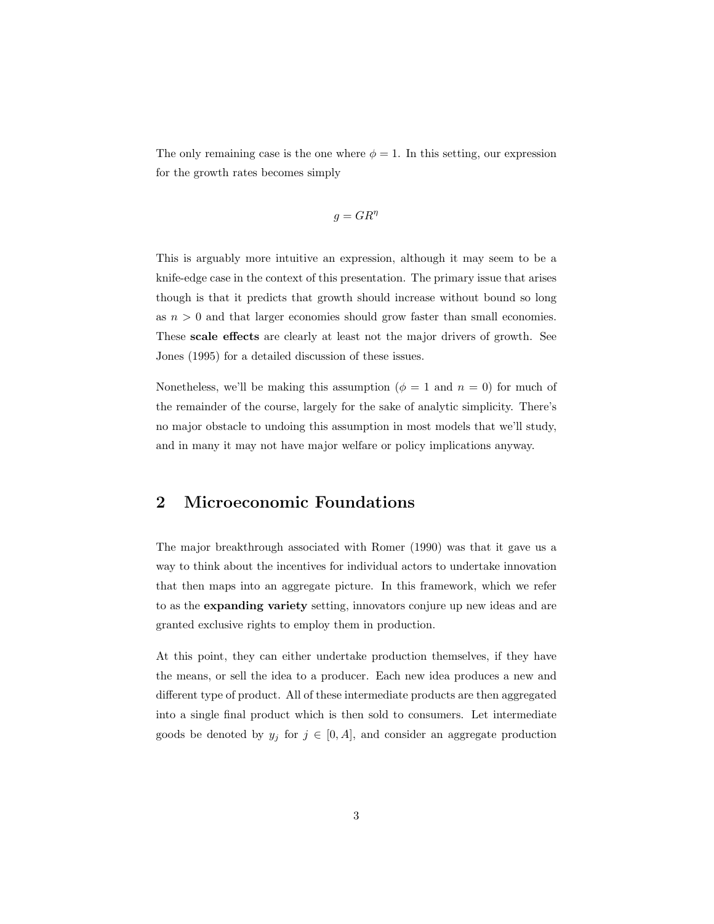The only remaining case is the one where  $\phi = 1$ . In this setting, our expression for the growth rates becomes simply

$$
g = GR^{\eta}
$$

This is arguably more intuitive an expression, although it may seem to be a knife-edge case in the context of this presentation. The primary issue that arises though is that it predicts that growth should increase without bound so long as  $n > 0$  and that larger economies should grow faster than small economies. These scale effects are clearly at least not the major drivers of growth. See Jones (1995) for a detailed discussion of these issues.

Nonetheless, we'll be making this assumption ( $\phi = 1$  and  $n = 0$ ) for much of the remainder of the course, largely for the sake of analytic simplicity. There's no major obstacle to undoing this assumption in most models that we'll study, and in many it may not have major welfare or policy implications anyway.

### 2 Microeconomic Foundations

The major breakthrough associated with Romer (1990) was that it gave us a way to think about the incentives for individual actors to undertake innovation that then maps into an aggregate picture. In this framework, which we refer to as the expanding variety setting, innovators conjure up new ideas and are granted exclusive rights to employ them in production.

At this point, they can either undertake production themselves, if they have the means, or sell the idea to a producer. Each new idea produces a new and different type of product. All of these intermediate products are then aggregated into a single final product which is then sold to consumers. Let intermediate goods be denoted by  $y_j$  for  $j \in [0, A]$ , and consider an aggregate production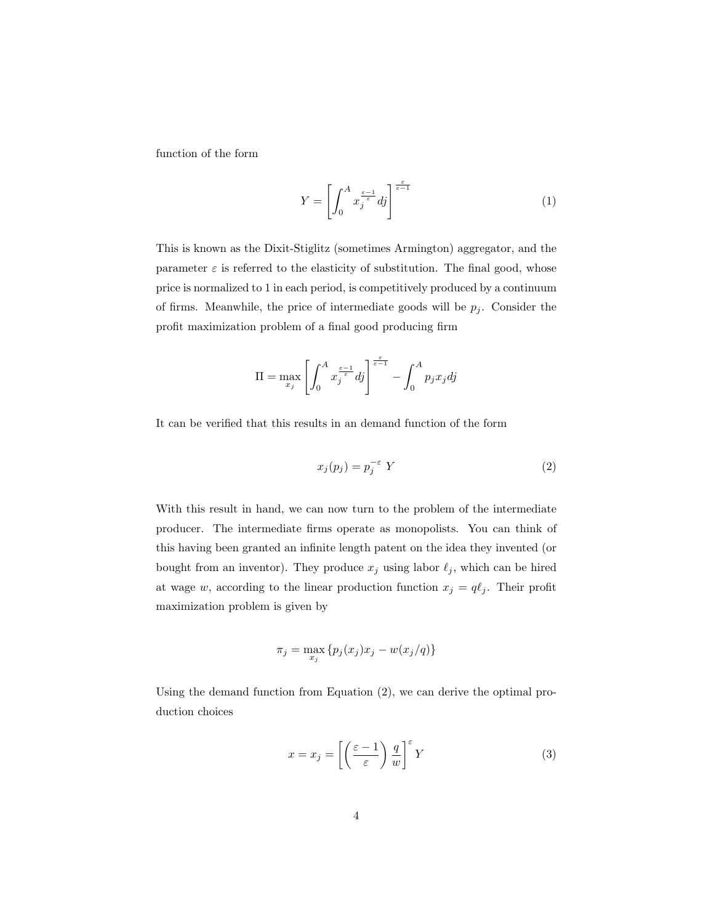function of the form

$$
Y = \left[ \int_0^A x_j^{\frac{\varepsilon - 1}{\varepsilon}} dj \right]^{\frac{\varepsilon}{\varepsilon - 1}} \tag{1}
$$

This is known as the Dixit-Stiglitz (sometimes Armington) aggregator, and the parameter  $\varepsilon$  is referred to the elasticity of substitution. The final good, whose price is normalized to 1 in each period, is competitively produced by a continuum of firms. Meanwhile, the price of intermediate goods will be  $p_i$ . Consider the profit maximization problem of a final good producing firm

$$
\Pi = \max_{x_j} \left[ \int_0^A x_j^{\frac{\varepsilon - 1}{\varepsilon}} dj \right]^{\frac{\varepsilon}{\varepsilon - 1}} - \int_0^A p_j x_j dj
$$

It can be verified that this results in an demand function of the form

$$
x_j(p_j) = p_j^{-\varepsilon} Y \tag{2}
$$

With this result in hand, we can now turn to the problem of the intermediate producer. The intermediate firms operate as monopolists. You can think of this having been granted an infinite length patent on the idea they invented (or bought from an inventor). They produce  $x_j$  using labor  $\ell_j$ , which can be hired at wage w, according to the linear production function  $x_j = q\ell_j$ . Their profit maximization problem is given by

$$
\pi_j = \max_{x_j} \{ p_j(x_j) x_j - w(x_j/q) \}
$$

Using the demand function from Equation (2), we can derive the optimal production choices

$$
x = x_j = \left[ \left( \frac{\varepsilon - 1}{\varepsilon} \right) \frac{q}{w} \right]^{\varepsilon} Y \tag{3}
$$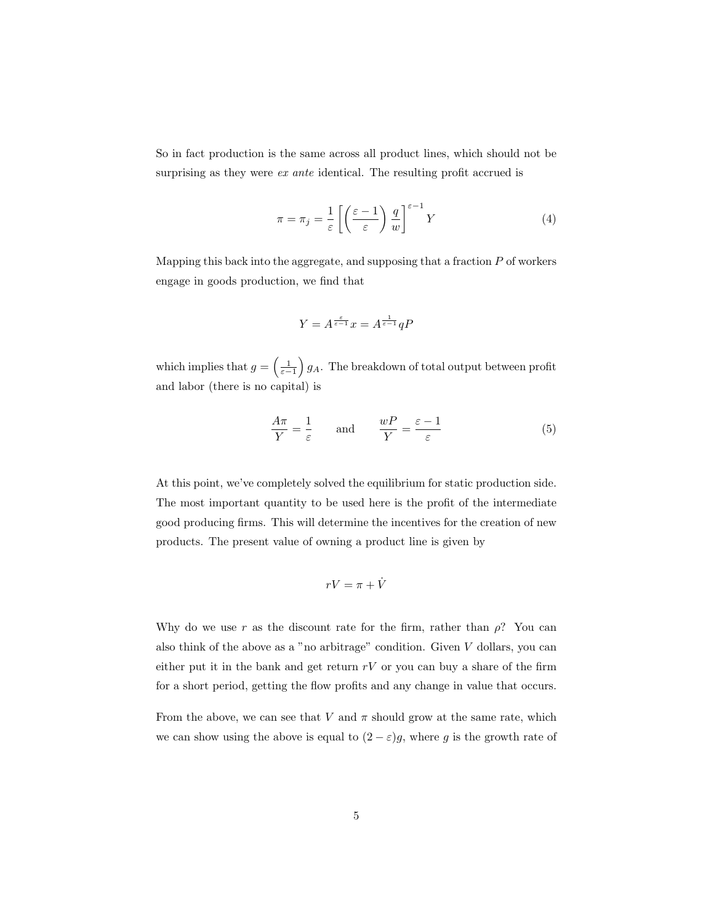So in fact production is the same across all product lines, which should not be surprising as they were *ex ante* identical. The resulting profit accrued is

$$
\pi = \pi_j = \frac{1}{\varepsilon} \left[ \left( \frac{\varepsilon - 1}{\varepsilon} \right) \frac{q}{w} \right]^{\varepsilon - 1} Y \tag{4}
$$

Mapping this back into the aggregate, and supposing that a fraction  $P$  of workers engage in goods production, we find that

$$
Y = A^{\frac{\varepsilon}{\varepsilon - 1}} x = A^{\frac{1}{\varepsilon - 1}} qP
$$

which implies that  $g = \left(\frac{1}{\varepsilon - 1}\right) g_A$ . The breakdown of total output between profit and labor (there is no capital) is

$$
\frac{A\pi}{Y} = \frac{1}{\varepsilon} \quad \text{and} \quad \frac{wP}{Y} = \frac{\varepsilon - 1}{\varepsilon} \tag{5}
$$

At this point, we've completely solved the equilibrium for static production side. The most important quantity to be used here is the profit of the intermediate good producing firms. This will determine the incentives for the creation of new products. The present value of owning a product line is given by

$$
rV=\pi+\dot{V}
$$

Why do we use r as the discount rate for the firm, rather than  $\rho$ ? You can also think of the above as a "no arbitrage" condition. Given  $V$  dollars, you can either put it in the bank and get return  $rV$  or you can buy a share of the firm for a short period, getting the flow profits and any change in value that occurs.

From the above, we can see that V and  $\pi$  should grow at the same rate, which we can show using the above is equal to  $(2 - \varepsilon)g$ , where g is the growth rate of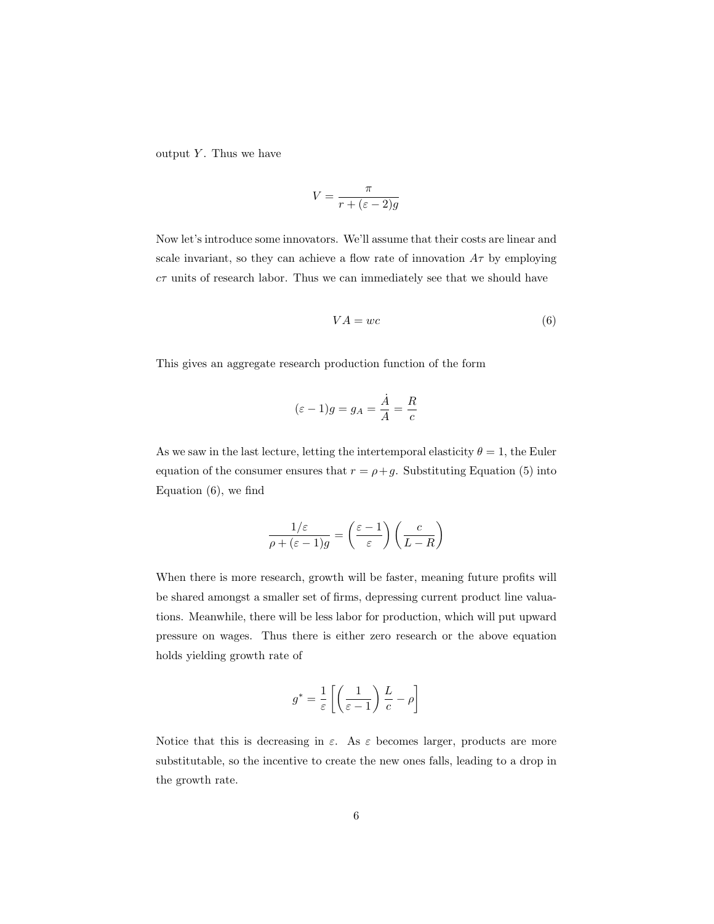output  $Y$ . Thus we have

$$
V = \frac{\pi}{r + (\varepsilon - 2)g}
$$

Now let's introduce some innovators. We'll assume that their costs are linear and scale invariant, so they can achieve a flow rate of innovation  $A\tau$  by employing  $c\tau$  units of research labor. Thus we can immediately see that we should have

$$
VA = wc \tag{6}
$$

This gives an aggregate research production function of the form

$$
(\varepsilon - 1)g = g_A = \frac{\dot{A}}{A} = \frac{R}{c}
$$

As we saw in the last lecture, letting the intertemporal elasticity  $\theta = 1$ , the Euler equation of the consumer ensures that  $r = \rho + g$ . Substituting Equation (5) into Equation (6), we find

$$
\frac{1/\varepsilon}{\rho + (\varepsilon - 1)g} = \left(\frac{\varepsilon - 1}{\varepsilon}\right) \left(\frac{c}{L - R}\right)
$$

When there is more research, growth will be faster, meaning future profits will be shared amongst a smaller set of firms, depressing current product line valuations. Meanwhile, there will be less labor for production, which will put upward pressure on wages. Thus there is either zero research or the above equation holds yielding growth rate of

$$
g^* = \frac{1}{\varepsilon} \left[ \left( \frac{1}{\varepsilon - 1} \right) \frac{L}{c} - \rho \right]
$$

Notice that this is decreasing in  $\varepsilon$ . As  $\varepsilon$  becomes larger, products are more substitutable, so the incentive to create the new ones falls, leading to a drop in the growth rate.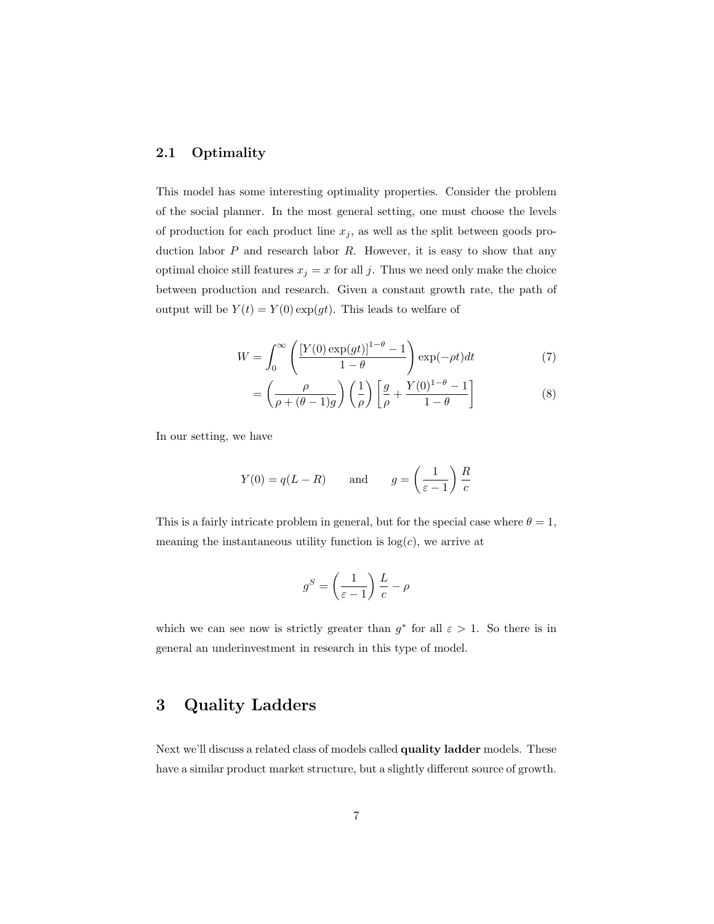#### 2.1 Optimality

This model has some interesting optimality properties. Consider the problem of the social planner. In the most general setting, one must choose the levels of production for each product line  $x_j$ , as well as the split between goods production labor  $P$  and research labor  $R$ . However, it is easy to show that any optimal choice still features  $x_j = x$  for all j. Thus we need only make the choice between production and research. Given a constant growth rate, the path of output will be  $Y(t) = Y(0) \exp(gt)$ . This leads to welfare of

$$
W = \int_0^\infty \left( \frac{\left[Y(0) \exp(gt)\right]^{1-\theta} - 1}{1-\theta} \right) \exp(-\rho t) dt \tag{7}
$$

$$
= \left(\frac{\rho}{\rho + (\theta - 1)g}\right) \left(\frac{1}{\rho}\right) \left[\frac{g}{\rho} + \frac{Y(0)^{1-\theta} - 1}{1-\theta}\right]
$$
 (8)

In our setting, we have

$$
Y(0) = q(L - R)
$$
 and  $g = \left(\frac{1}{\varepsilon - 1}\right) \frac{R}{c}$ 

This is a fairly intricate problem in general, but for the special case where  $\theta = 1$ , meaning the instantaneous utility function is  $log(c)$ , we arrive at

$$
g^S = \left(\frac{1}{\varepsilon - 1}\right) \frac{L}{c} - \rho
$$

which we can see now is strictly greater than  $g^*$  for all  $\varepsilon > 1$ . So there is in general an underinvestment in research in this type of model.

### 3 Quality Ladders

Next we'll discuss a related class of models called quality ladder models. These have a similar product market structure, but a slightly different source of growth.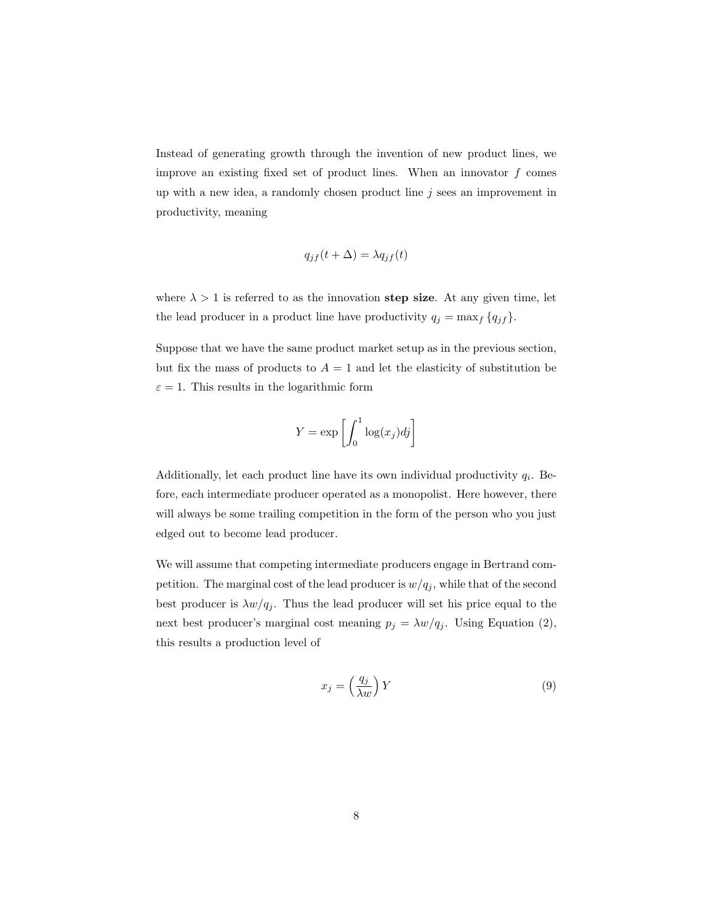Instead of generating growth through the invention of new product lines, we improve an existing fixed set of product lines. When an innovator  $f$  comes up with a new idea, a randomly chosen product line  $j$  sees an improvement in productivity, meaning

$$
q_{jf}(t+\Delta) = \lambda q_{jf}(t)
$$

where  $\lambda > 1$  is referred to as the innovation step size. At any given time, let the lead producer in a product line have productivity  $q_j = \max_f \{q_{jf}\}.$ 

Suppose that we have the same product market setup as in the previous section, but fix the mass of products to  $A = 1$  and let the elasticity of substitution be  $\varepsilon = 1$ . This results in the logarithmic form

$$
Y = \exp\left[\int_0^1 \log(x_j)dj\right]
$$

Additionally, let each product line have its own individual productivity  $q_i$ . Before, each intermediate producer operated as a monopolist. Here however, there will always be some trailing competition in the form of the person who you just edged out to become lead producer.

We will assume that competing intermediate producers engage in Bertrand competition. The marginal cost of the lead producer is  $w/q_j$ , while that of the second best producer is  $\lambda w/q_j$ . Thus the lead producer will set his price equal to the next best producer's marginal cost meaning  $p_j = \lambda w/q_j$ . Using Equation (2), this results a production level of

$$
x_j = \left(\frac{q_j}{\lambda w}\right) Y \tag{9}
$$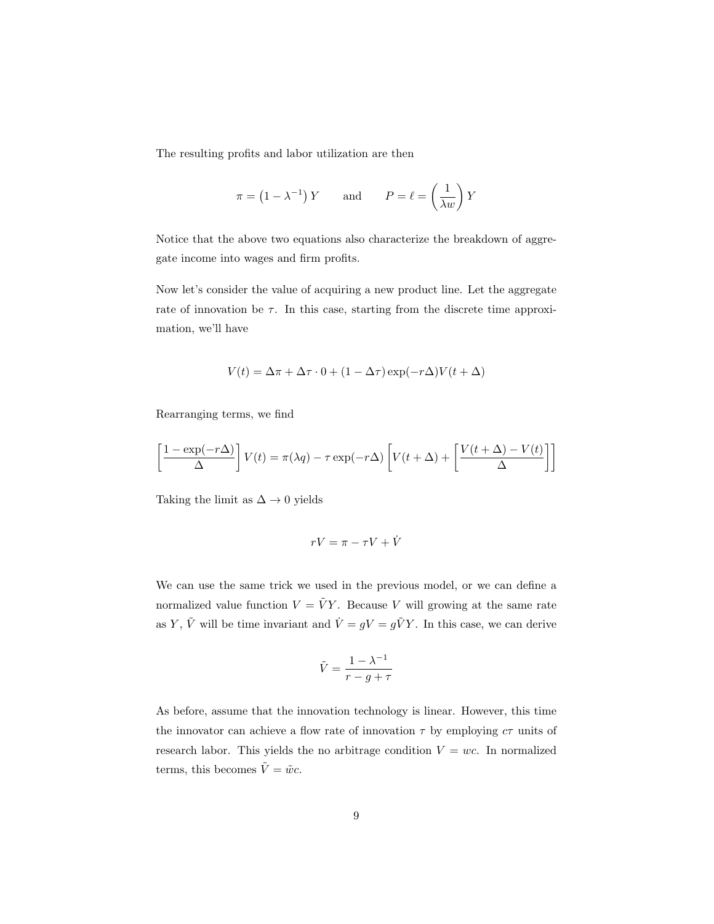The resulting profits and labor utilization are then

$$
\pi = (1 - \lambda^{-1}) Y
$$
 and  $P = \ell = \left(\frac{1}{\lambda w}\right) Y$ 

Notice that the above two equations also characterize the breakdown of aggregate income into wages and firm profits.

Now let's consider the value of acquiring a new product line. Let the aggregate rate of innovation be  $\tau$ . In this case, starting from the discrete time approximation, we'll have

$$
V(t) = \Delta \pi + \Delta \tau \cdot 0 + (1 - \Delta \tau) \exp(-r\Delta) V(t + \Delta)
$$

Rearranging terms, we find

$$
\left[\frac{1 - \exp(-r\Delta)}{\Delta}\right]V(t) = \pi(\lambda q) - \tau \exp(-r\Delta) \left[V(t + \Delta) + \left[\frac{V(t + \Delta) - V(t)}{\Delta}\right]\right]
$$

Taking the limit as  $\Delta \rightarrow 0$  yields

$$
rV = \pi - \tau V + \dot{V}
$$

We can use the same trick we used in the previous model, or we can define a normalized value function  $V = \tilde{V}Y$ . Because V will growing at the same rate as Y,  $\tilde{V}$  will be time invariant and  $\dot{V} = gV = g\tilde{V}Y$ . In this case, we can derive

$$
\tilde{V} = \frac{1 - \lambda^{-1}}{r - g + \tau}
$$

As before, assume that the innovation technology is linear. However, this time the innovator can achieve a flow rate of innovation  $\tau$  by employing  $c\tau$  units of research labor. This yields the no arbitrage condition  $V = wc$ . In normalized terms, this becomes  $\tilde{V} = \tilde{w}c$ .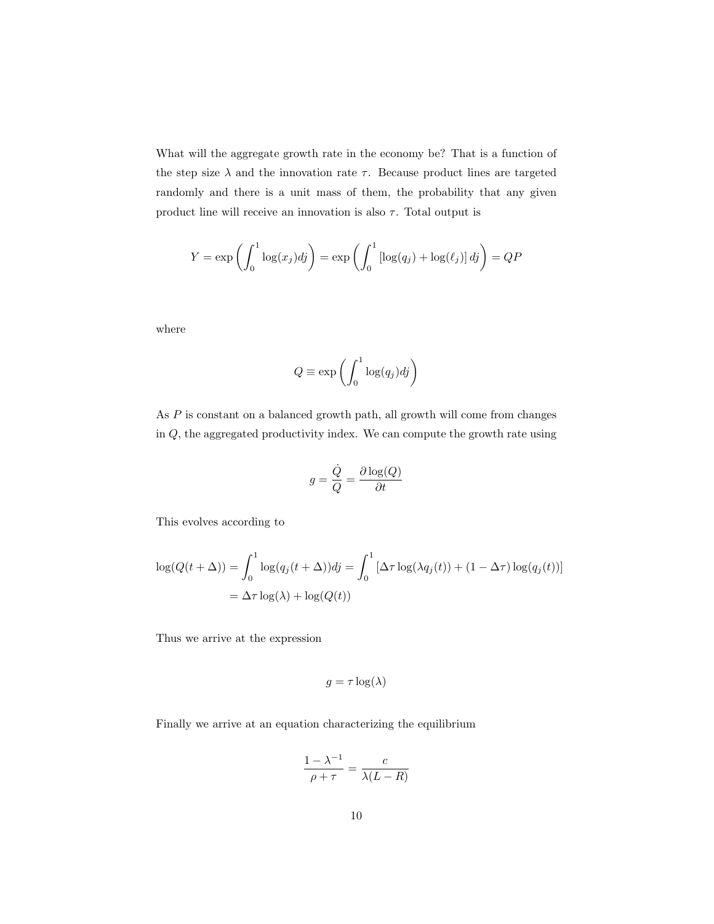What will the aggregate growth rate in the economy be? That is a function of the step size  $\lambda$  and the innovation rate  $\tau$ . Because product lines are targeted randomly and there is a unit mass of them, the probability that any given product line will receive an innovation is also  $\tau$ . Total output is

$$
Y = \exp\left(\int_0^1 \log(x_j)dj\right) = \exp\left(\int_0^1 \left[\log(q_j) + \log(\ell_j)\right]dj\right) = QP
$$

where

$$
Q \equiv \exp\left(\int_0^1 \log(q_j)dj\right)
$$

As P is constant on a balanced growth path, all growth will come from changes in Q, the aggregated productivity index. We can compute the growth rate using

$$
g = \frac{\dot{Q}}{Q} = \frac{\partial \log(Q)}{\partial t}
$$

This evolves according to

$$
\log(Q(t+\Delta)) = \int_0^1 \log(q_j(t+\Delta))dy = \int_0^1 [\Delta \tau \log(\lambda q_j(t)) + (1-\Delta \tau) \log(q_j(t))]
$$
  
=  $\Delta \tau \log(\lambda) + \log(Q(t))$ 

Thus we arrive at the expression

$$
g = \tau \log(\lambda)
$$

Finally we arrive at an equation characterizing the equilibrium

$$
\frac{1 - \lambda^{-1}}{\rho + \tau} = \frac{c}{\lambda(L - R)}
$$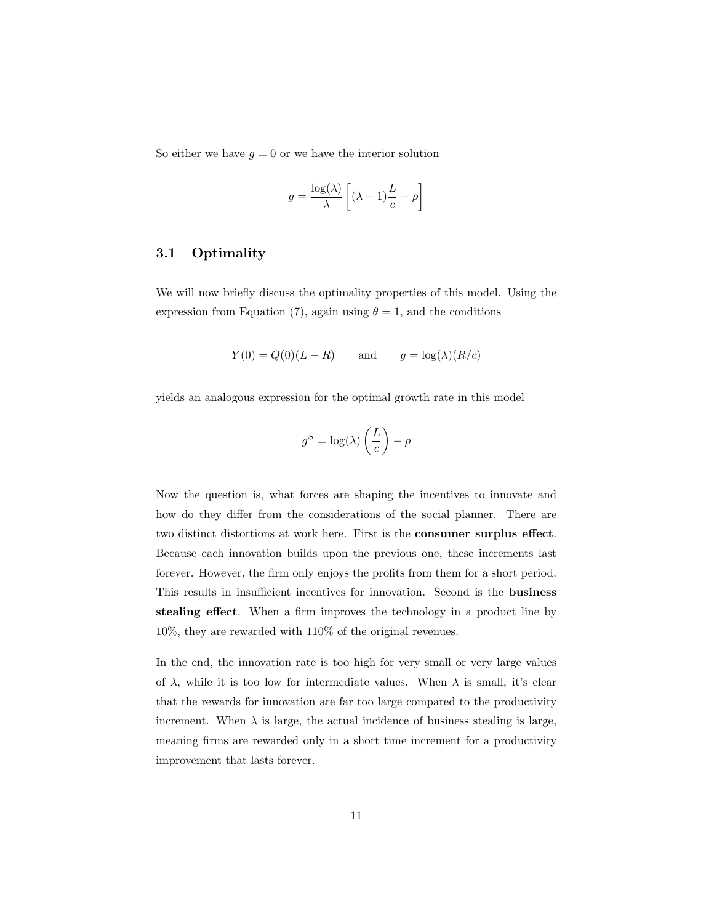So either we have  $g = 0$  or we have the interior solution

$$
g = \frac{\log(\lambda)}{\lambda} \left[ (\lambda - 1) \frac{L}{c} - \rho \right]
$$

#### 3.1 Optimality

We will now briefly discuss the optimality properties of this model. Using the expression from Equation (7), again using  $\theta = 1$ , and the conditions

$$
Y(0) = Q(0)(L - R)
$$
 and  $g = \log(\lambda)(R/c)$ 

yields an analogous expression for the optimal growth rate in this model

$$
g^S = \log(\lambda) \left(\frac{L}{c}\right) - \rho
$$

Now the question is, what forces are shaping the incentives to innovate and how do they differ from the considerations of the social planner. There are two distinct distortions at work here. First is the consumer surplus effect. Because each innovation builds upon the previous one, these increments last forever. However, the firm only enjoys the profits from them for a short period. This results in insufficient incentives for innovation. Second is the business stealing effect. When a firm improves the technology in a product line by 10%, they are rewarded with 110% of the original revenues.

In the end, the innovation rate is too high for very small or very large values of  $\lambda$ , while it is too low for intermediate values. When  $\lambda$  is small, it's clear that the rewards for innovation are far too large compared to the productivity increment. When  $\lambda$  is large, the actual incidence of business stealing is large, meaning firms are rewarded only in a short time increment for a productivity improvement that lasts forever.